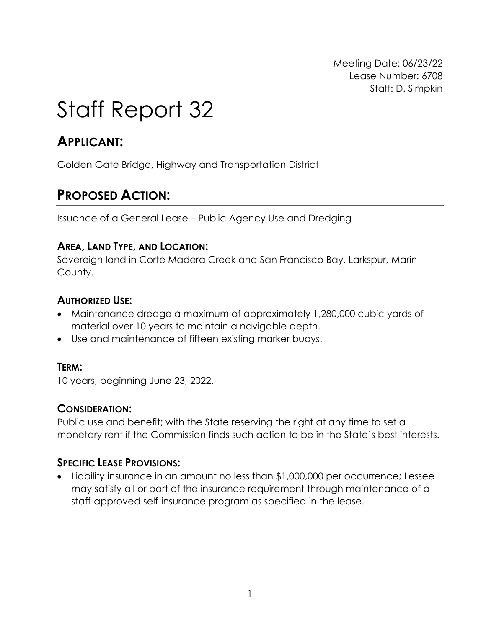Meeting Date: 06/23/22 Lease Number: 6708 Staff: D. Simpkin

# Staff Report 32

# **APPLICANT:**

Golden Gate Bridge, Highway and Transportation District

# **PROPOSED ACTION:**

Issuance of a General Lease – Public Agency Use and Dredging

### **AREA, LAND TYPE, AND LOCATION:**

Sovereign land in Corte Madera Creek and San Francisco Bay, Larkspur, Marin County.

### **AUTHORIZED USE:**

- Maintenance dredge a maximum of approximately 1,280,000 cubic yards of material over 10 years to maintain a navigable depth.
- Use and maintenance of fifteen existing marker buoys.

#### **TERM:**

10 years, beginning June 23, 2022.

### **CONSIDERATION:**

Public use and benefit; with the State reserving the right at any time to set a monetary rent if the Commission finds such action to be in the State's best interests.

### **SPECIFIC LEASE PROVISIONS:**

• Liability insurance in an amount no less than \$1,000,000 per occurrence; Lessee may satisfy all or part of the insurance requirement through maintenance of a staff-approved self-insurance program as specified in the lease.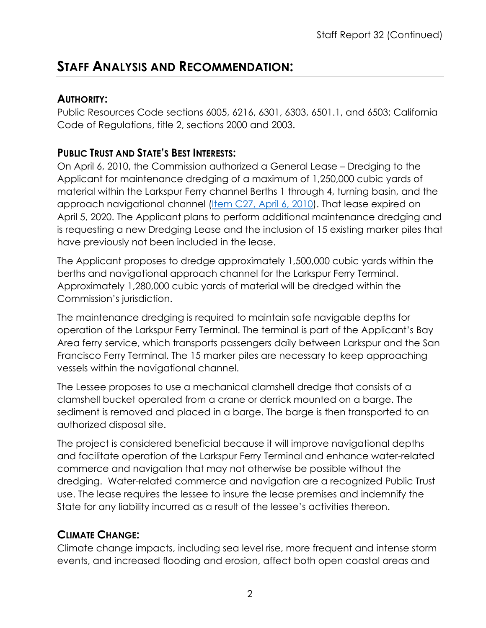# **STAFF ANALYSIS AND RECOMMENDATION:**

### **AUTHORITY:**

Public Resources Code sections 6005, 6216, 6301, 6303, 6501.1, and 6503; California Code of Regulations, title 2, sections 2000 and 2003.

## **PUBLIC TRUST AND STATE'S BEST INTERESTS:**

On April 6, 2010, the Commission authorized a General Lease – Dredging to the Applicant for maintenance dredging of a maximum of 1,250,000 cubic yards of material within the Larkspur Ferry channel Berths 1 through 4, turning basin, and the approach navigational channel [\(Item C27, April 6, 2010\)](https://www.slc.ca.gov/Meeting_Summaries/2010_Documents/04-06-10/ITEMS_AND_EXHIBITS/C27.pdf). That lease expired on April 5, 2020. The Applicant plans to perform additional maintenance dredging and is requesting a new Dredging Lease and the inclusion of 15 existing marker piles that have previously not been included in the lease.

The Applicant proposes to dredge approximately 1,500,000 cubic yards within the berths and navigational approach channel for the Larkspur Ferry Terminal. Approximately 1,280,000 cubic yards of material will be dredged within the Commission's jurisdiction.

The maintenance dredging is required to maintain safe navigable depths for operation of the Larkspur Ferry Terminal. The terminal is part of the Applicant's Bay Area ferry service, which transports passengers daily between Larkspur and the San Francisco Ferry Terminal. The 15 marker piles are necessary to keep approaching vessels within the navigational channel.

The Lessee proposes to use a mechanical clamshell dredge that consists of a clamshell bucket operated from a crane or derrick mounted on a barge. The sediment is removed and placed in a barge. The barge is then transported to an authorized disposal site.

The project is considered beneficial because it will improve navigational depths and facilitate operation of the Larkspur Ferry Terminal and enhance water-related commerce and navigation that may not otherwise be possible without the dredging. Water-related commerce and navigation are a recognized Public Trust use. The lease requires the lessee to insure the lease premises and indemnify the State for any liability incurred as a result of the lessee's activities thereon.

### **CLIMATE CHANGE:**

Climate change impacts, including sea level rise, more frequent and intense storm events, and increased flooding and erosion, affect both open coastal areas and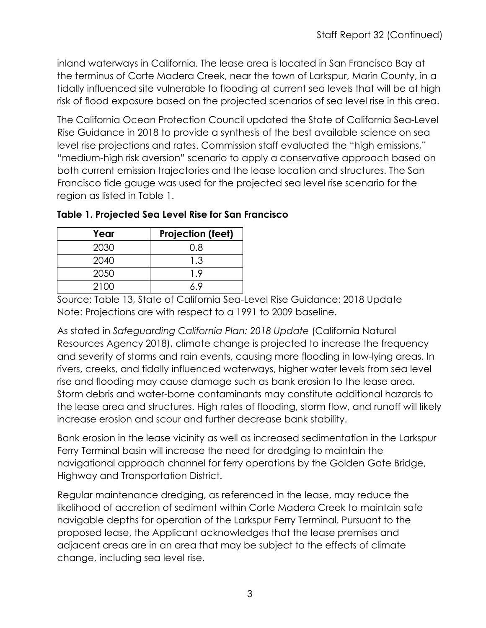inland waterways in California. The lease area is located in San Francisco Bay at the terminus of Corte Madera Creek, near the town of Larkspur, Marin County, in a tidally influenced site vulnerable to flooding at current sea levels that will be at high risk of flood exposure based on the projected scenarios of sea level rise in this area.

The California Ocean Protection Council updated the State of California Sea-Level Rise Guidance in 2018 to provide a synthesis of the best available science on sea level rise projections and rates. Commission staff evaluated the "high emissions," "medium-high risk aversion" scenario to apply a conservative approach based on both current emission trajectories and the lease location and structures. The San Francisco tide gauge was used for the projected sea level rise scenario for the region as listed in Table 1.

| Year | <b>Projection (feet)</b> |
|------|--------------------------|
| 2030 | 0.8                      |
| 2040 | 1.3                      |
| 2050 | 19                       |
| 2100 |                          |

| Table 1. Projected Sea Level Rise for San Francisco |  |  |  |  |  |  |
|-----------------------------------------------------|--|--|--|--|--|--|
|                                                     |  |  |  |  |  |  |

Source: Table 13, State of California Sea-Level Rise Guidance: 2018 Update Note: Projections are with respect to a 1991 to 2009 baseline.

As stated in *Safeguarding California Plan: 2018 Update* (California Natural Resources Agency 2018), climate change is projected to increase the frequency and severity of storms and rain events, causing more flooding in low-lying areas. In rivers, creeks, and tidally influenced waterways, higher water levels from sea level rise and flooding may cause damage such as bank erosion to the lease area. Storm debris and water-borne contaminants may constitute additional hazards to the lease area and structures. High rates of flooding, storm flow, and runoff will likely increase erosion and scour and further decrease bank stability.

Bank erosion in the lease vicinity as well as increased sedimentation in the Larkspur Ferry Terminal basin will increase the need for dredging to maintain the navigational approach channel for ferry operations by the Golden Gate Bridge, Highway and Transportation District.

Regular maintenance dredging, as referenced in the lease, may reduce the likelihood of accretion of sediment within Corte Madera Creek to maintain safe navigable depths for operation of the Larkspur Ferry Terminal. Pursuant to the proposed lease, the Applicant acknowledges that the lease premises and adjacent areas are in an area that may be subject to the effects of climate change, including sea level rise.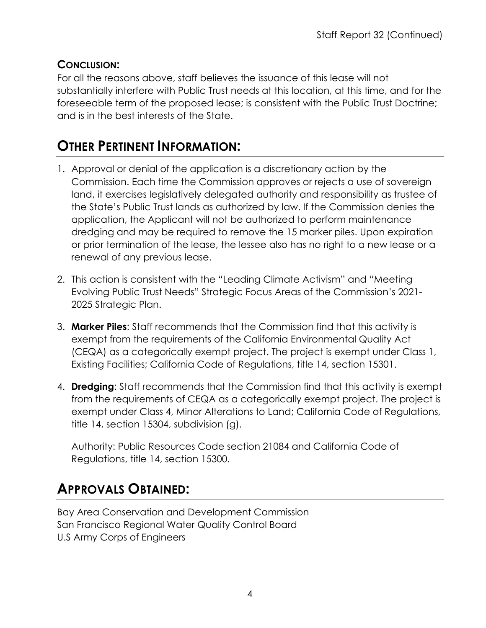# **CONCLUSION:**

For all the reasons above, staff believes the issuance of this lease will not substantially interfere with Public Trust needs at this location, at this time, and for the foreseeable term of the proposed lease; is consistent with the Public Trust Doctrine; and is in the best interests of the State.

# **OTHER PERTINENT INFORMATION:**

- 1. Approval or denial of the application is a discretionary action by the Commission. Each time the Commission approves or rejects a use of sovereign land, it exercises legislatively delegated authority and responsibility as trustee of the State's Public Trust lands as authorized by law. If the Commission denies the application, the Applicant will not be authorized to perform maintenance dredging and may be required to remove the 15 marker piles. Upon expiration or prior termination of the lease, the lessee also has no right to a new lease or a renewal of any previous lease.
- 2. This action is consistent with the "Leading Climate Activism" and "Meeting Evolving Public Trust Needs" Strategic Focus Areas of the Commission's 2021- 2025 Strategic Plan.
- 3. **Marker Piles**: Staff recommends that the Commission find that this activity is exempt from the requirements of the California Environmental Quality Act (CEQA) as a categorically exempt project. The project is exempt under Class 1, Existing Facilities; California Code of Regulations, title 14, section 15301.
- 4. **Dredging**: Staff recommends that the Commission find that this activity is exempt from the requirements of CEQA as a categorically exempt project. The project is exempt under Class 4, Minor Alterations to Land; California Code of Regulations, title 14, section 15304, subdivision (g).

Authority: Public Resources Code section 21084 and California Code of Regulations, title 14, section 15300.

# **APPROVALS OBTAINED:**

Bay Area Conservation and Development Commission San Francisco Regional Water Quality Control Board U.S Army Corps of Engineers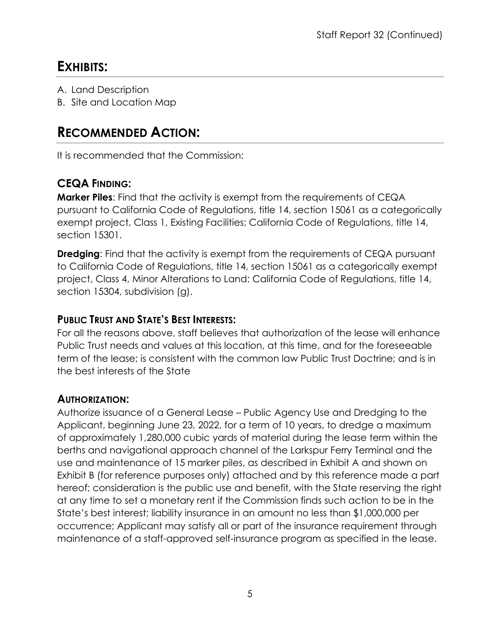# **EXHIBITS:**

- A. Land Description
- B. Site and Location Map

# **RECOMMENDED ACTION:**

It is recommended that the Commission:

# **CEQA FINDING:**

**Marker Piles**: Find that the activity is exempt from the requirements of CEQA pursuant to California Code of Regulations, title 14, section 15061 as a categorically exempt project, Class 1, Existing Facilities; California Code of Regulations, title 14, section 15301.

**Dredging**: Find that the activity is exempt from the requirements of CEQA pursuant to California Code of Regulations, title 14, section 15061 as a categorically exempt project, Class 4, Minor Alterations to Land; California Code of Regulations, title 14, section 15304, subdivision (g).

## **PUBLIC TRUST AND STATE'S BEST INTERESTS:**

For all the reasons above, staff believes that authorization of the lease will enhance Public Trust needs and values at this location, at this time, and for the foreseeable term of the lease; is consistent with the common law Public Trust Doctrine; and is in the best interests of the State

# **AUTHORIZATION:**

Authorize issuance of a General Lease – Public Agency Use and Dredging to the Applicant, beginning June 23, 2022, for a term of 10 years, to dredge a maximum of approximately 1,280,000 cubic yards of material during the lease term within the berths and navigational approach channel of the Larkspur Ferry Terminal and the use and maintenance of 15 marker piles, as described in Exhibit A and shown on Exhibit B (for reference purposes only) attached and by this reference made a part hereof; consideration is the public use and benefit, with the State reserving the right at any time to set a monetary rent if the Commission finds such action to be in the State's best interest; liability insurance in an amount no less than \$1,000,000 per occurrence; Applicant may satisfy all or part of the insurance requirement through maintenance of a staff-approved self-insurance program as specified in the lease.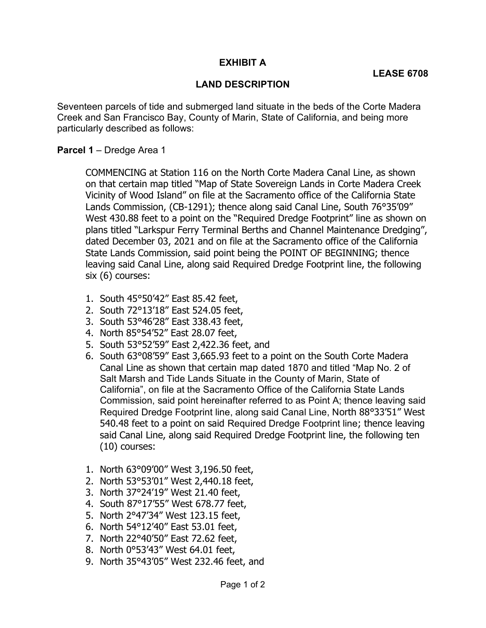#### EXHIBIT A

#### LAND DESCRIPTION

 Seventeen parcels of tide and submerged land situate in the beds of the Corte Madera Creek and San Francisco Bay, County of Marin, State of California, and being more particularly described as follows:

#### Parcel 1 - Dredge Area 1

 COMMENCING at Station 116 on the North Corte Madera Canal Line, as shown on that certain map titled "Map of State Sovereign Lands in Corte Madera Creek Vicinity of Wood Island" on file at the Sacramento office of the California State Lands Commission, (CB-1291); thence along said Canal Line, South 76°35'09" West 430.88 feet to a point on the "Required Dredge Footprint" line as shown on plans titled "Larkspur Ferry Terminal Berths and Channel Maintenance Dredging", dated December 03, 2021 and on file at the Sacramento office of the California State Lands Commission, said point being the POINT OF BEGINNING; thence leaving said Canal Line, along said Required Dredge Footprint line, the following six (6) courses:

- 1. South 45°50'42" East 85.42 feet,
- 2. South 72°13'18" East 524.05 feet,
- 3. South 53°46'28" East 338.43 feet,
- 4. North 85°54'52" East 28.07 feet,
- 5. South 53°52'59" East 2,422.36 feet, and
- 6. South 63°08'59" East 3,665.93 feet to a point on the South Corte Madera Canal Line as shown that certain map dated 1870 and titled "Map No. 2 of Salt Marsh and Tide Lands Situate in the County of Marin, State of California", on file at the Sacramento Office of the California State Lands Commission, said point hereinafter referred to as Point A; thence leaving said Required Dredge Footprint line, along said Canal Line, North 88°33'51" West 540.48 feet to a point on said Required Dredge Footprint line; thence leaving said Canal Line, along said Required Dredge Footprint line, the following ten (10) courses:
- 1. North 63°09'00" West 3,196.50 feet,
- 2. North 53°53'01" West 2,440.18 feet,
- 3. North 37°24'19" West 21.40 feet,
- 4. South 87°17'55" West 678.77 feet,
- 5. North 2°47'34" West 123.15 feet,
- 6. North 54°12'40" East 53.01 feet,
- 7. North 22°40'50" East 72.62 feet,
- 8. North 0°53'43" West 64.01 feet,
- 9. North 35°43'05" West 232.46 feet, and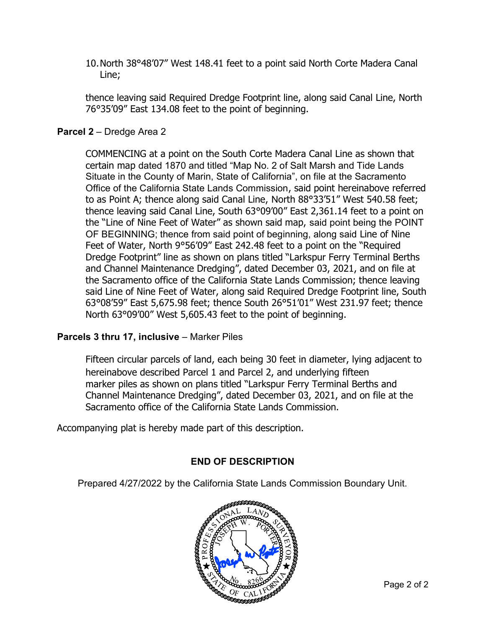10.North 38°48'07" West 148.41 feet to a point said North Corte Madera Canal Line;

 thence leaving said Required Dredge Footprint line, along said Canal Line, North 76°35'09" East 134.08 feet to the point of beginning.

#### Parcel 2 - Dredge Area 2

COMMENCING at a point on the South Corte Madera Canal Line as shown that certain map dated 1870 and titled "Map No. 2 of Salt Marsh and Tide Lands Situate in the County of Marin, State of California", on file at the Sacramento Office of the California State Lands Commission, said point hereinabove referred to as Point A; thence along said Canal Line, North 88°33'51" West 540.58 feet; thence leaving said Canal Line, South 63°09'00" East 2,361.14 feet to a point on the "Line of Nine Feet of Water" as shown said map, said point being the POINT OF BEGINNING; thence from said point of beginning, along said Line of Nine Feet of Water, North 9°56'09" East 242.48 feet to a point on the "Required Dredge Footprint" line as shown on plans titled "Larkspur Ferry Terminal Berths and Channel Maintenance Dredging", dated December 03, 2021, and on file at the Sacramento office of the California State Lands Commission; thence leaving said Line of Nine Feet of Water, along said Required Dredge Footprint line, South 63°08'59" East 5,675.98 feet; thence South 26°51'01" West 231.97 feet; thence North 63°09'00" West 5,605.43 feet to the point of beginning.

#### Parcels 3 thru 17, inclusive – Marker Piles

 Fifteen circular parcels of land, each being 30 feet in diameter, lying adjacent to hereinabove described Parcel 1 and Parcel 2, and underlying fifteen marker piles as shown on plans titled "Larkspur Ferry Terminal Berths and Channel Maintenance Dredging", dated December 03, 2021, and on file at the Sacramento office of the California State Lands Commission.

Accompanying plat is hereby made part of this description.

#### END OF DESCRIPTION

Prepared 4/27/2022 by the California State Lands Commission Boundary Unit.